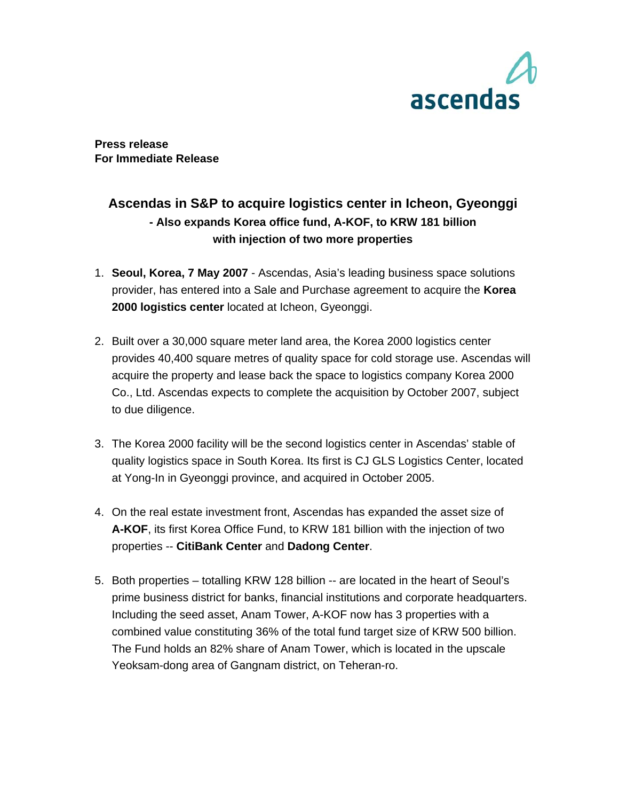

**Press release For Immediate Release** 

# **Ascendas in S&P to acquire logistics center in Icheon, Gyeonggi - Also expands Korea office fund, A-KOF, to KRW 181 billion with injection of two more properties**

- 1. **Seoul, Korea, 7 May 2007** Ascendas, Asia's leading business space solutions provider, has entered into a Sale and Purchase agreement to acquire the **Korea 2000 logistics center** located at Icheon, Gyeonggi.
- 2. Built over a 30,000 square meter land area, the Korea 2000 logistics center provides 40,400 square metres of quality space for cold storage use. Ascendas will acquire the property and lease back the space to logistics company Korea 2000 Co., Ltd. Ascendas expects to complete the acquisition by October 2007, subject to due diligence.
- 3. The Korea 2000 facility will be the second logistics center in Ascendas' stable of quality logistics space in South Korea. Its first is CJ GLS Logistics Center, located at Yong-In in Gyeonggi province, and acquired in October 2005.
- 4. On the real estate investment front, Ascendas has expanded the asset size of **A-KOF**, its first Korea Office Fund, to KRW 181 billion with the injection of two properties -- **CitiBank Center** and **Dadong Center**.
- 5. Both properties totalling KRW 128 billion -- are located in the heart of Seoul's prime business district for banks, financial institutions and corporate headquarters. Including the seed asset, Anam Tower, A-KOF now has 3 properties with a combined value constituting 36% of the total fund target size of KRW 500 billion. The Fund holds an 82% share of Anam Tower, which is located in the upscale Yeoksam-dong area of Gangnam district, on Teheran-ro.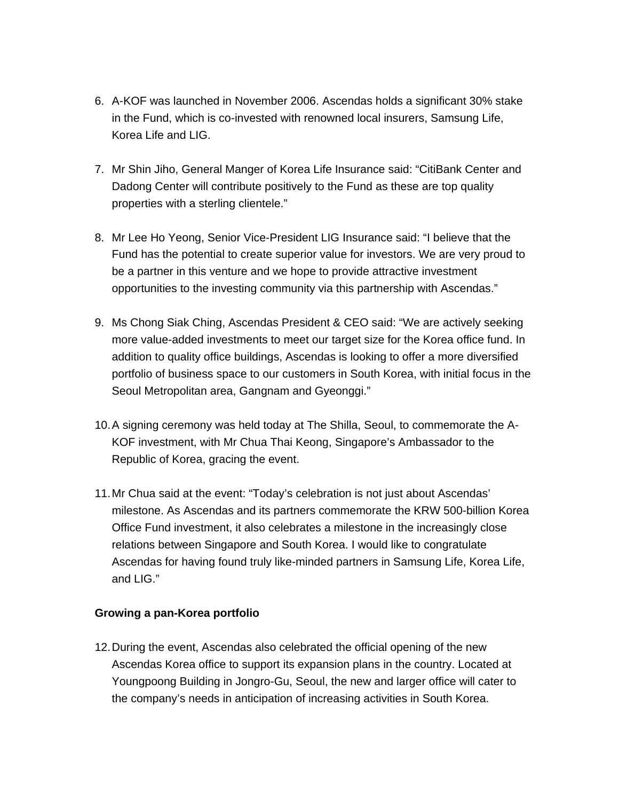- 6. A-KOF was launched in November 2006. Ascendas holds a significant 30% stake in the Fund, which is co-invested with renowned local insurers, Samsung Life, Korea Life and LIG.
- 7. Mr Shin Jiho, General Manger of Korea Life Insurance said: "CitiBank Center and Dadong Center will contribute positively to the Fund as these are top quality properties with a sterling clientele."
- 8. Mr Lee Ho Yeong, Senior Vice-President LIG Insurance said: "I believe that the Fund has the potential to create superior value for investors. We are very proud to be a partner in this venture and we hope to provide attractive investment opportunities to the investing community via this partnership with Ascendas."
- 9. Ms Chong Siak Ching, Ascendas President & CEO said: "We are actively seeking more value-added investments to meet our target size for the Korea office fund. In addition to quality office buildings, Ascendas is looking to offer a more diversified portfolio of business space to our customers in South Korea, with initial focus in the Seoul Metropolitan area, Gangnam and Gyeonggi."
- 10. A signing ceremony was held today at The Shilla, Seoul, to commemorate the A-KOF investment, with Mr Chua Thai Keong, Singapore's Ambassador to the Republic of Korea, gracing the event.
- 11. Mr Chua said at the event: "Today's celebration is not just about Ascendas' milestone. As Ascendas and its partners commemorate the KRW 500-billion Korea Office Fund investment, it also celebrates a milestone in the increasingly close relations between Singapore and South Korea. I would like to congratulate Ascendas for having found truly like-minded partners in Samsung Life, Korea Life, and LIG."

## **Growing a pan-Korea portfolio**

12. During the event, Ascendas also celebrated the official opening of the new Ascendas Korea office to support its expansion plans in the country. Located at Youngpoong Building in Jongro-Gu, Seoul, the new and larger office will cater to the company's needs in anticipation of increasing activities in South Korea.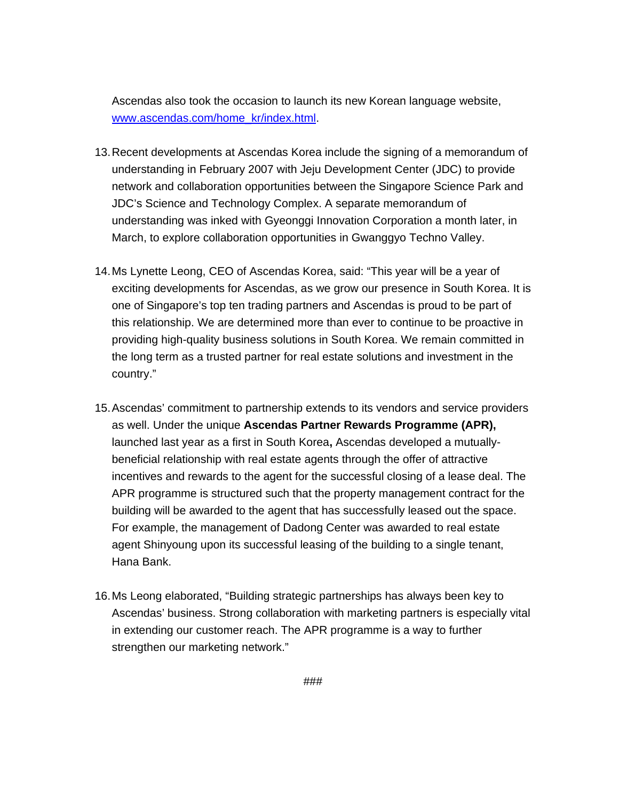Ascendas also took the occasion to launch its new Korean language website, www.ascendas.com/home\_kr/index.html.

- 13. Recent developments at Ascendas Korea include the signing of a memorandum of understanding in February 2007 with Jeju Development Center (JDC) to provide network and collaboration opportunities between the Singapore Science Park and JDC's Science and Technology Complex. A separate memorandum of understanding was inked with Gyeonggi Innovation Corporation a month later, in March, to explore collaboration opportunities in Gwanggyo Techno Valley.
- 14. Ms Lynette Leong, CEO of Ascendas Korea, said: "This year will be a year of exciting developments for Ascendas, as we grow our presence in South Korea. It is one of Singapore's top ten trading partners and Ascendas is proud to be part of this relationship. We are determined more than ever to continue to be proactive in providing high-quality business solutions in South Korea. We remain committed in the long term as a trusted partner for real estate solutions and investment in the country."
- 15. Ascendas' commitment to partnership extends to its vendors and service providers as well. Under the unique **Ascendas Partner Rewards Programme (APR),**  launched last year as a first in South Korea**,** Ascendas developed a mutuallybeneficial relationship with real estate agents through the offer of attractive incentives and rewards to the agent for the successful closing of a lease deal. The APR programme is structured such that the property management contract for the building will be awarded to the agent that has successfully leased out the space. For example, the management of Dadong Center was awarded to real estate agent Shinyoung upon its successful leasing of the building to a single tenant, Hana Bank.
- 16. Ms Leong elaborated, "Building strategic partnerships has always been key to Ascendas' business. Strong collaboration with marketing partners is especially vital in extending our customer reach. The APR programme is a way to further strengthen our marketing network."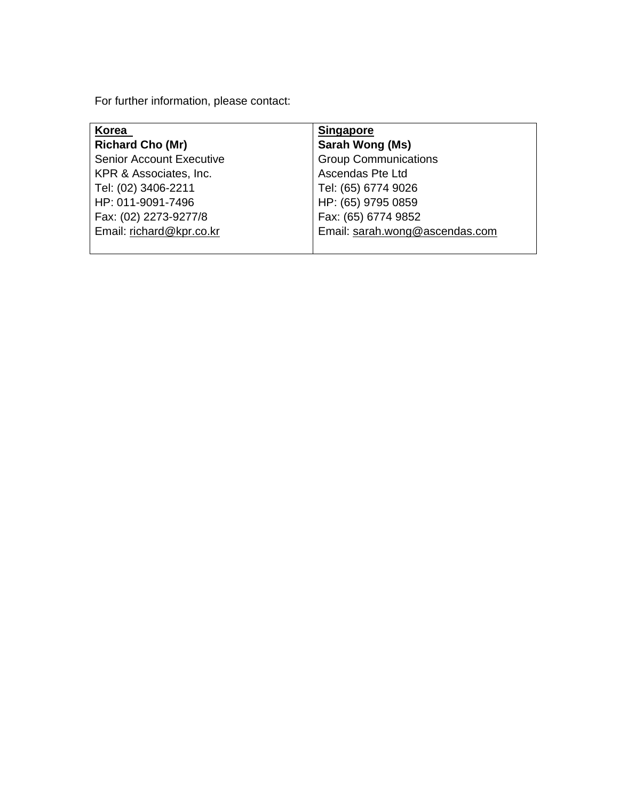For further information, please contact:

| Korea                           | <b>Singapore</b>               |
|---------------------------------|--------------------------------|
| <b>Richard Cho (Mr)</b>         | Sarah Wong (Ms)                |
| <b>Senior Account Executive</b> | <b>Group Communications</b>    |
| KPR & Associates, Inc.          | <b>Ascendas Pte Ltd</b>        |
| Tel: (02) 3406-2211             | Tel: (65) 6774 9026            |
| HP: 011-9091-7496               | HP: (65) 9795 0859             |
| Fax: (02) 2273-9277/8           | Fax: (65) 6774 9852            |
| Email: richard@kpr.co.kr        | Email: sarah.wong@ascendas.com |
|                                 |                                |